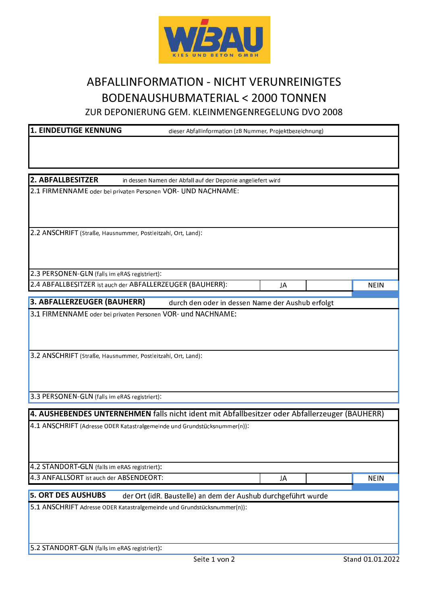

## **ABFALLINFORMATION - NICHT VERUNREINIGTES** BODENAUSHUBMATERIAL < 2000 TONNEN

ZUR DEPONIERUNG GEM. KLEINMENGENREGELUNG DVO 2008

## **1. EINDEUTIGE KENNUNG**

dieser Abfallinformation (zB Nummer, Projektbezeichnung)

JA

JA

2. ABFALLBESITZER

in dessen Namen der Abfall auf der Deponie angeliefert wird

2.1 FIRMENNAME oder bei privaten Personen VOR- UND NACHNAME:

2.2 ANSCHRIFT (Straße, Hausnummer, Postleitzahl, Ort, Land):

2.3 PERSONEN-GLN (falls im eRAS registriert):

2.4 ABFALLBESITZER ist auch der ABFALLERZEUGER (BAUHERR):

3. ABFALLERZEUGER (BAUHERR) durch den oder in dessen Name der Aushub erfolgt

3.1 FIRMENNAME oder bei privaten Personen VOR- und NACHNAME:

3.2 ANSCHRIFT (Straße, Hausnummer, Postleitzahl, Ort, Land):

3.3 PERSONEN-GLN (falls im eRAS registriert):

4. AUSHEBENDES UNTERNEHMEN falls nicht ident mit Abfallbesitzer oder Abfallerzeuger (BAUHERR)

4.1 ANSCHRIFT (Adresse ODER Katastralgemeinde und Grundstücksnummer(n)):

4.2 STANDORT-GLN (falls im eRAS registriert):

4.3 ANFALLSORT ist auch der ABSENDEORT:

**5. ORT DES AUSHUBS** der Ort (idR. Baustelle) an dem der Aushub durchgeführt wurde

5.1 ANSCHRIFT Adresse ODER Katastralgemeinde und Grundstücksnummer(n)):

5.2 STANDORT-GLN (falls im eRAS registriert):

**NEIN** 

**NEIN**